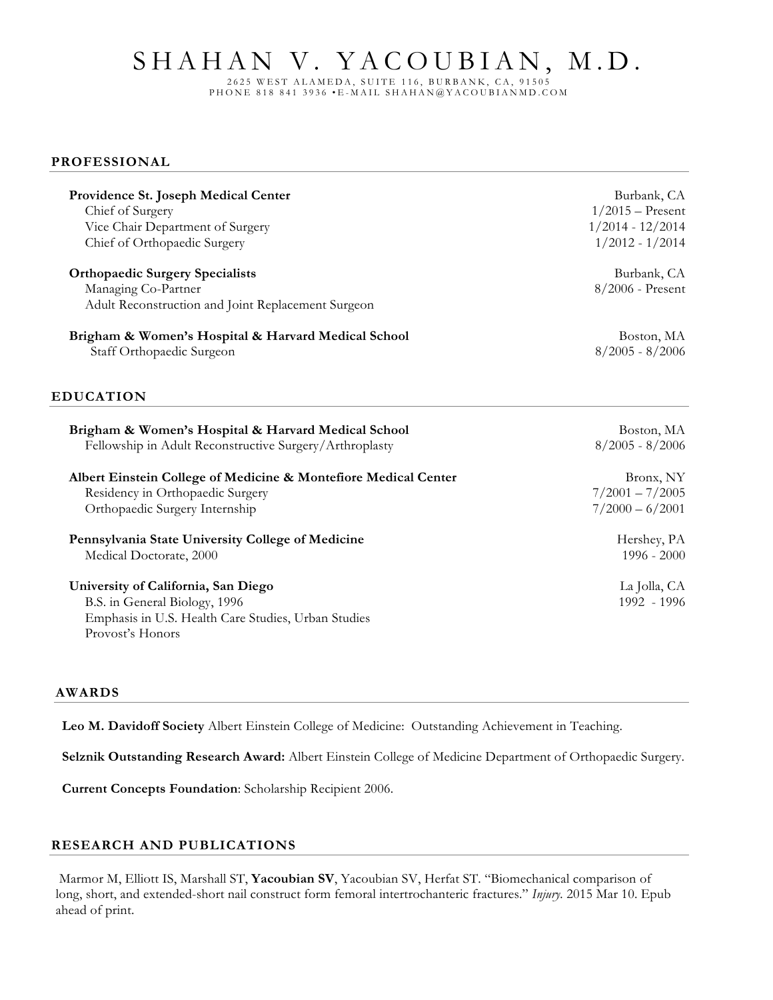# SHAHAN V. YACOUBIAN, M.D.

2625 WEST ALAMEDA, SUITE 116, BURBANK, CA, 91505 PHONE 818 841 3936 • E - MAIL SHAHAN@YACOUBIA NMD.COM

#### **PROFESSIONAL**

| Providence St. Joseph Medical Center                            | Burbank, CA        |
|-----------------------------------------------------------------|--------------------|
| Chief of Surgery                                                | $1/2015$ – Present |
| Vice Chair Department of Surgery                                | $1/2014 - 12/2014$ |
| Chief of Orthopaedic Surgery                                    | $1/2012 - 1/2014$  |
| <b>Orthopaedic Surgery Specialists</b>                          | Burbank, CA        |
| Managing Co-Partner                                             | 8/2006 - Present   |
| Adult Reconstruction and Joint Replacement Surgeon              |                    |
| Brigham & Women's Hospital & Harvard Medical School             | Boston, MA         |
| Staff Orthopaedic Surgeon                                       | $8/2005 - 8/2006$  |
| <b>EDUCATION</b>                                                |                    |
| Brigham & Women's Hospital & Harvard Medical School             | Boston, MA         |
| Fellowship in Adult Reconstructive Surgery/Arthroplasty         | $8/2005 - 8/2006$  |
| Albert Einstein College of Medicine & Montefiore Medical Center | Bronx, NY          |
| Residency in Orthopaedic Surgery                                | $7/2001 - 7/2005$  |
| Orthopaedic Surgery Internship                                  | $7/2000 - 6/2001$  |
| Pennsylvania State University College of Medicine               | Hershey, PA        |
| Medical Doctorate, 2000                                         | $1996 - 2000$      |
| University of California, San Diego                             | La Jolla, CA       |
| B.S. in General Biology, 1996                                   | 1992 - 1996        |
| Emphasis in U.S. Health Care Studies, Urban Studies             |                    |
| Provost's Honors                                                |                    |

#### **AWARDS**

**Leo M. Davidoff Society** Albert Einstein College of Medicine: Outstanding Achievement in Teaching.

**Selznik Outstanding Research Award:** Albert Einstein College of Medicine Department of Orthopaedic Surgery.

**Current Concepts Foundation**: Scholarship Recipient 2006.

## **RESEARCH AND PUBLICATIONS**

Marmor M, Elliott IS, Marshall ST, **Yacoubian SV**, Yacoubian SV, Herfat ST. "Biomechanical comparison of long, short, and extended-short nail construct form femoral intertrochanteric fractures." *Injury.* 2015 Mar 10. Epub ahead of print.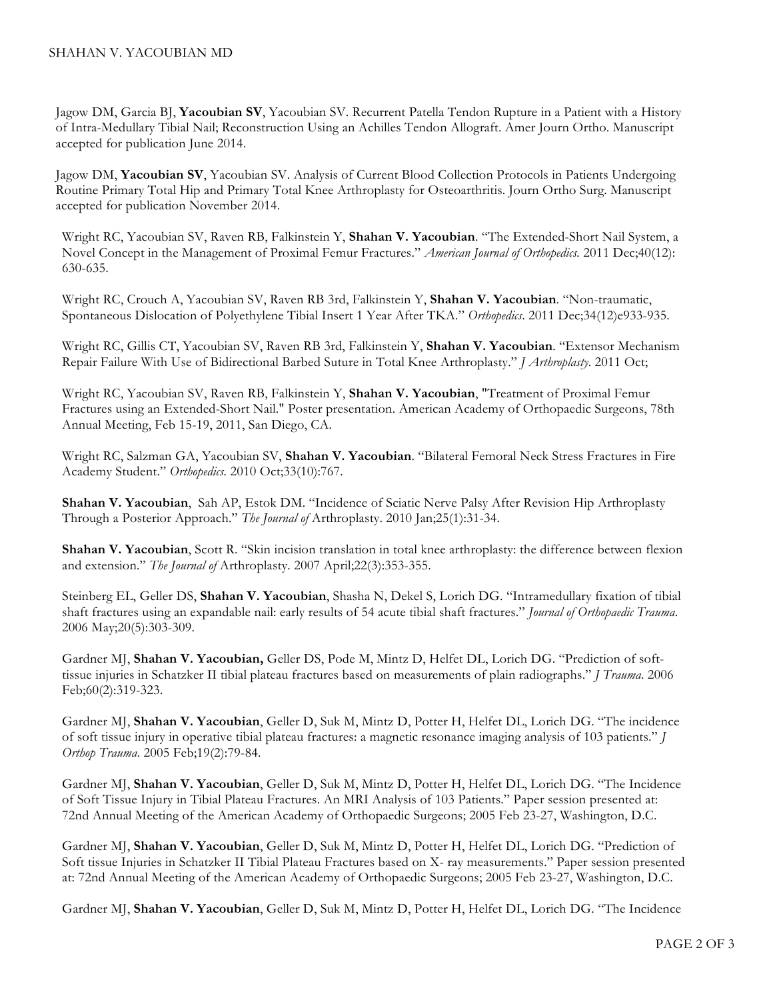Jagow DM, Garcia BJ, **Yacoubian SV**, Yacoubian SV. Recurrent Patella Tendon Rupture in a Patient with a History of Intra-Medullary Tibial Nail; Reconstruction Using an Achilles Tendon Allograft. Amer Journ Ortho. Manuscript accepted for publication June 2014.

Jagow DM, **Yacoubian SV**, Yacoubian SV. Analysis of Current Blood Collection Protocols in Patients Undergoing Routine Primary Total Hip and Primary Total Knee Arthroplasty for Osteoarthritis. Journ Ortho Surg. Manuscript accepted for publication November 2014.

Wright RC, Yacoubian SV, Raven RB, Falkinstein Y, **Shahan V. Yacoubian**. "The Extended-Short Nail System, a Novel Concept in the Management of Proximal Femur Fractures." *American Journal of Orthopedics.* 2011 Dec;40(12): 630-635.

Wright RC, Crouch A, Yacoubian SV, Raven RB 3rd, Falkinstein Y, **Shahan V. Yacoubian**. "Non-traumatic, Spontaneous Dislocation of Polyethylene Tibial Insert 1 Year After TKA." *Orthopedics*. 2011 Dec;34(12)e933-935.

Wright RC, Gillis CT, Yacoubian SV, Raven RB 3rd, Falkinstein Y, **Shahan V. Yacoubian**. "Extensor Mechanism Repair Failure With Use of Bidirectional Barbed Suture in Total Knee Arthroplasty." *J Arthroplasty*. 2011 Oct;

Wright RC, Yacoubian SV, Raven RB, Falkinstein Y, **Shahan V. Yacoubian**, "Treatment of Proximal Femur Fractures using an Extended-Short Nail." Poster presentation. American Academy of Orthopaedic Surgeons, 78th Annual Meeting, Feb 15-19, 2011, San Diego, CA.

Wright RC, Salzman GA, Yacoubian SV, **Shahan V. Yacoubian**. "Bilateral Femoral Neck Stress Fractures in Fire Academy Student." *Orthopedics.* 2010 Oct;33(10):767.

**Shahan V. Yacoubian**, Sah AP, Estok DM. "Incidence of Sciatic Nerve Palsy After Revision Hip Arthroplasty Through a Posterior Approach." *The Journal of* Arthroplasty. 2010 Jan;25(1):31-34.

**Shahan V. Yacoubian**, Scott R. "Skin incision translation in total knee arthroplasty: the difference between flexion and extension." *The Journal of* Arthroplasty. 2007 April;22(3):353-355.

Steinberg EL, Geller DS, **Shahan V. Yacoubian**, Shasha N, Dekel S, Lorich DG. "Intramedullary fixation of tibial shaft fractures using an expandable nail: early results of 54 acute tibial shaft fractures." *Journal of Orthopaedic Trauma*. 2006 May;20(5):303-309.

Gardner MJ, **Shahan V. Yacoubian,** Geller DS, Pode M, Mintz D, Helfet DL, Lorich DG. "Prediction of softtissue injuries in Schatzker II tibial plateau fractures based on measurements of plain radiographs." *J Trauma*. 2006 Feb;60(2):319-323.

Gardner MJ, **Shahan V. Yacoubian**, Geller D, Suk M, Mintz D, Potter H, Helfet DL, Lorich DG. "The incidence of soft tissue injury in operative tibial plateau fractures: a magnetic resonance imaging analysis of 103 patients." *J Orthop Trauma*. 2005 Feb;19(2):79-84.

Gardner MJ, **Shahan V. Yacoubian**, Geller D, Suk M, Mintz D, Potter H, Helfet DL, Lorich DG. "The Incidence of Soft Tissue Injury in Tibial Plateau Fractures. An MRI Analysis of 103 Patients." Paper session presented at: 72nd Annual Meeting of the American Academy of Orthopaedic Surgeons; 2005 Feb 23-27, Washington, D.C.

Gardner MJ, **Shahan V. Yacoubian**, Geller D, Suk M, Mintz D, Potter H, Helfet DL, Lorich DG. "Prediction of Soft tissue Injuries in Schatzker II Tibial Plateau Fractures based on X- ray measurements." Paper session presented at: 72nd Annual Meeting of the American Academy of Orthopaedic Surgeons; 2005 Feb 23-27, Washington, D.C.

Gardner MJ, **Shahan V. Yacoubian**, Geller D, Suk M, Mintz D, Potter H, Helfet DL, Lorich DG. "The Incidence